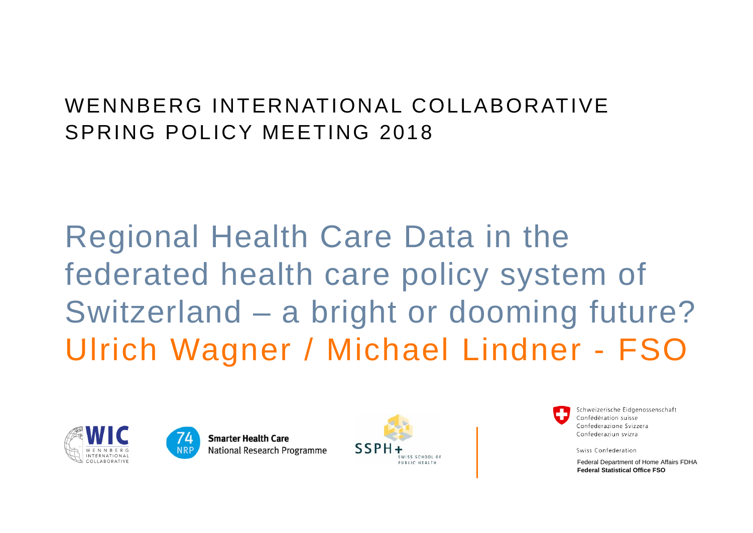### WENNBERG INTERNATIONAL COLLABORATIVESPRING POLICY MEETING 2018

Regional Health Care Data in the federated health care policy system of Switzerland – a bright or dooming future? Ulrich Wagner / Michael Lindner - FSO





**Smarter Health Care National Research Programme** 



Schweizerische Eidgenossenschaft Confédération suisse Confederazione Svizzera Confederaziun svizra

Swiss Confederation

Federal Department of Home Affairs FDHA **Federal Statistical Office FSO**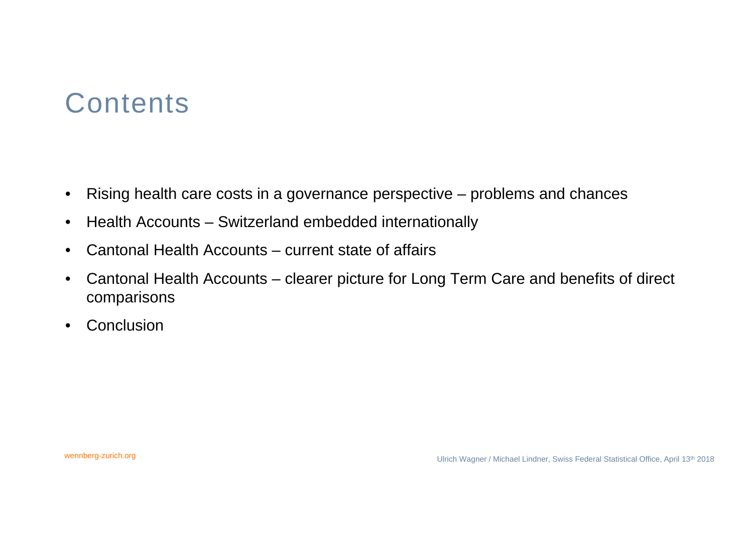## **Contents**

- •Rising health care costs in a governance perspective – problems and chances
- •Health Accounts – Switzerland embedded internationally
- •Cantonal Health Accounts – current state of affairs
- • Cantonal Health Accounts – clearer picture for Long Term Care and benefits of direct comparisons
- •Conclusion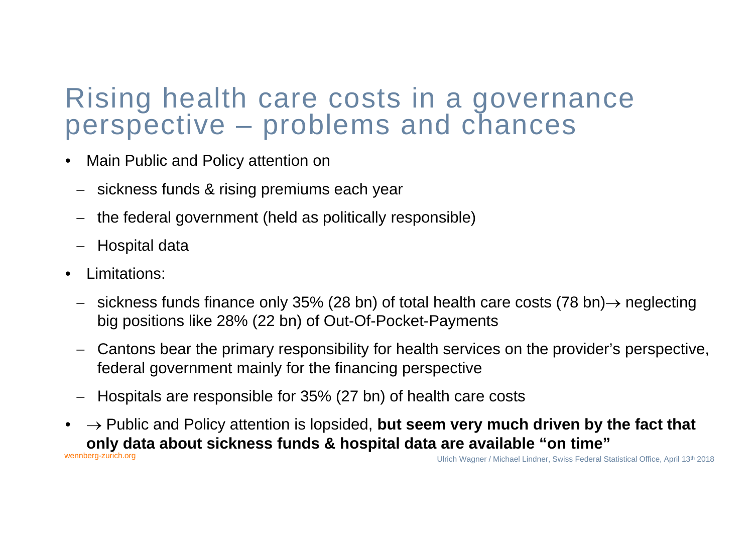### Rising health care costs in a governance perspective – problems and chances

- • Main Public and Policy attention on
	- $\overline{\phantom{0}}$ sickness funds & rising premiums each year
	- $\overline{\phantom{0}}$ the federal government (held as politically responsible)
	- $\overline{\phantom{0}}$ Hospital data
- • Limitations:
	- $\overline{\phantom{m}}$ sickness funds finance only 35% (28 bn) of total health care costs (78 bn) $\rightarrow$  neglecting big positions like 28% (22 bn) of Out-Of-Pocket-Payments
	- Cantons bear the primary responsibility for health services on the provider's perspective, federal government mainly for the financing perspective
	- $\overline{\phantom{m}}$ Hospitals are responsible for 35% (27 bn) of health care costs
- $\bullet$  $\bullet \rightarrow$  Public and Policy attention is lopsided, **but seem very much driven by the fact that only data about sickness funds & hospital data are available "on time"**

wennberg-zurich.org **Education Statistical Chinael Lindner**, Swiss Federal Statistical Office, April 13<sup>th</sup> 2018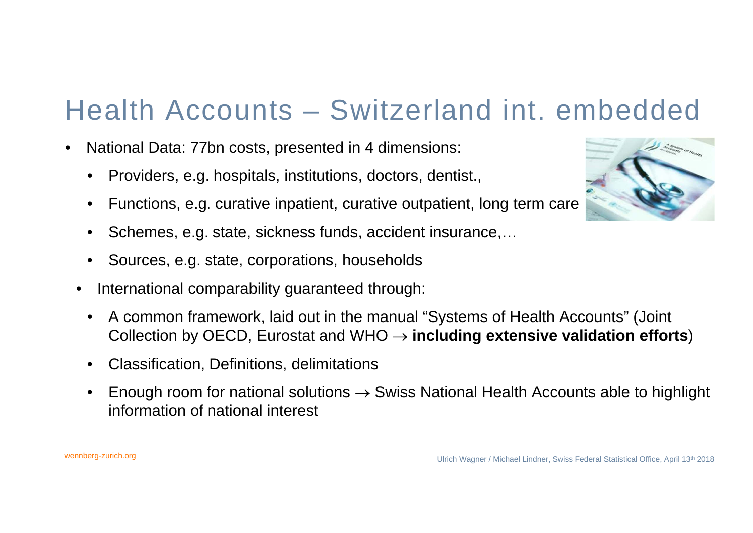## Health Accounts – Switzerland int. embedded

- • National Data: 77bn costs, presented in 4 dimensions:
	- •Providers, e.g. hospitals, institutions, doctors, dentist.,
	- •Functions, e.g. curative inpatient, curative outpatient, long term care
	- •Schemes, e.g. state, sickness funds, accident insurance,…
	- •Sources, e.g. state, corporations, households
	- $\bullet$  International comparability guaranteed through:
		- • A common framework, laid out in the manual "Systems of Health Accounts" (Joint Collection by OECD, Eurostat and WHO **including extensive validation efforts**)
		- •Classification, Definitions, delimitations
		- •Enough room for national solutions  $\rightarrow$  Swiss National Health Accounts able to highlight information of national interest

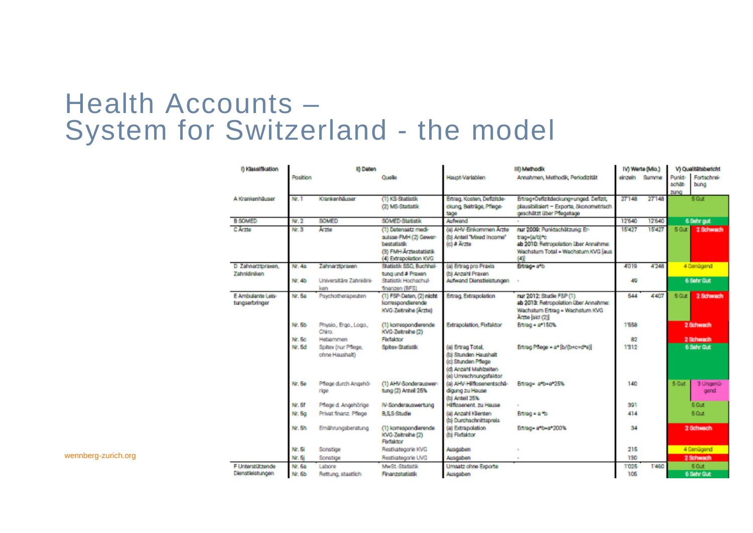### Health Accounts – System for Switzerland - the model

|                     | I) Klassifikation                    | <b>II)</b> Deten |                                       | III) Methodik                                                                                                        |                                                                                                                   | IV) Warte (Mio.)                                                                                                                   |               | V) Qualitätsbericht |                          |                     |
|---------------------|--------------------------------------|------------------|---------------------------------------|----------------------------------------------------------------------------------------------------------------------|-------------------------------------------------------------------------------------------------------------------|------------------------------------------------------------------------------------------------------------------------------------|---------------|---------------------|--------------------------|---------------------|
|                     |                                      | Position         |                                       | Quelle                                                                                                               | Haupt-Variablen                                                                                                   | Annahmen, Methodik, Periodizität                                                                                                   | einzeln Summe |                     | Punkt-<br>schät-<br>zung | Fortschrei-<br>bung |
|                     | A Krankenhäuser                      | Nr. 1            | Krankenhäuser                         | (1) KS Statistik<br>(2) MS-Statistik                                                                                 | Ertrag, Kosten, Defizitde-<br>ckung, Beiträge, Pflege-<br>tage                                                    | Ertrag+Defizitdeckung+unged. Defizit,<br>plausibilisiert - Exporte, ökonometrisch<br>geschätzt über Pflegetage                     | 27148         | 27'148              |                          | 5 Out               |
|                     | <b>B SOMED</b>                       | Nr. 2            | <b>SOMED</b>                          | <b>SOMED-Statistik</b>                                                                                               | Autwand                                                                                                           |                                                                                                                                    | 12'640        | 12'540              |                          | 6 Sehr gut          |
|                     | C Arzte                              | Nr. 3            | Arzte                                 | (1) Datensatz medi-<br>suisse FMH (2) Gewen<br><b>bestatistik</b><br>(3) FMH Ärztestatistik<br>(4) Extrapolation KVG | (a) AHV-Einkommen Ärzte<br>(b) Anteil "Mixed Income"<br>$(c)$ # Arzte                                             | nur 2009: Punktschätzung: Er-<br>trag+(a/b)*c<br>ab 2010: Retropolation über Annahme:<br>Wachstum Total = Wachstum KVG [aus<br>(4) | 15427         | 15'427              | 5 Gut                    | 2 Schwach           |
|                     | D Zahnarztpraxen                     | Nr. 4a           | Zahnarztpraxen                        | Statistik SSO, Buchhal-                                                                                              | (a) Entrag pro Praxis                                                                                             | Ertrag- arb                                                                                                                        | 4019          | 4'248               |                          | 4 Genügend          |
|                     | Zahnidiniken                         | Nr. 4b           | Universitäre Zahnklini-<br>ken        | tung und # Praxen<br>Statistik Hochschul-<br>finanzen (BFS)                                                          | (b) Anzahl Praxen<br>Aufwand Dienstleistungen                                                                     |                                                                                                                                    | 49            |                     |                          | 6 Sehr Gut          |
|                     | E Ambulante Leis-<br>tungserbringer  | Nr. 5a           | Psychotherapeuten                     | (1) FSP-Daten, (2) nicht<br>korrespondierende<br>KVG-Zeitreihe (Ärzte)                                               | Ertrag, Extrapolation                                                                                             | nur 2012: Studie FSP (1)<br>ab 2013: Retropolation über Annahme:<br>Wachstum Ertrag . Wachstum KVG<br>Arzte sici (2)               | 544           | 4'407               | 5 Gut                    | 2 Schwach           |
|                     |                                      | Nr. 5b           | Physio, Ergo, Logo,<br>Chiro.         | (1) korrespondierende<br>KVG-Zeitreihe (2)                                                                           | Extrapolation, Fixfaktor                                                                                          | Ertrag = a*150%                                                                                                                    | 1'558         |                     |                          | 2 Schwach           |
|                     |                                      | Nr. Se           | Hebammen                              | Fixfaktor                                                                                                            |                                                                                                                   |                                                                                                                                    | 82            |                     |                          | 2 Schwach           |
|                     |                                      | Nr. 5d           | Spitex (nur Pflege,<br>ohne Haushalt) | <b>Spiter-Statistik</b>                                                                                              | (a) Ertrag Total.<br>(b) Stunden Haushalt<br>(c) Stunden Pflege<br>(d) Anzahl Mahlzeiten<br>(e) Umrechnungsfaldor | Ertrag Pflege = a* [b/(b+c+d*e)]                                                                                                   | 1312          |                     |                          | 6 Sehr Gut          |
|                     |                                      | Nr. Se           | Pflege durch Angehö-<br>rige          | (1) AHV-Sonderauswer-<br>tung (2) Anteil 25%                                                                         | (a) AHV-Hiftosenentschä-<br>digung zu Hause<br>(b) Anteil 25%                                                     | Ertrag+ arb+a*25%                                                                                                                  | 140           |                     | 5 Gut                    | 3 Ungenü<br>gend    |
|                     |                                      | Nr. 5f           | Pflege d. Angehörige                  | IV-Sonderauswertung                                                                                                  | Hiffgsenent, zu Hause                                                                                             |                                                                                                                                    | 391           |                     |                          | 5 Gut               |
|                     |                                      | Nr. 5g           | Privat finanz, Pflege                 | B,S,S Studie                                                                                                         | (a) Anzahl Klienten<br>(b) Durchschnittspreis                                                                     | Ertrag = a *b                                                                                                                      | 414           |                     |                          | $6$ Cut             |
|                     |                                      | Nr. 5h           | Emährungsberatung                     | (1) korrespondierende<br>KVG-Zeitreihe (2)<br>Fixfaktor                                                              | (a) Extrapolation<br>(b) Fixfaktor                                                                                | Ertrag+ a*b+a*200%                                                                                                                 | 34            |                     |                          | 2 Schwach           |
|                     |                                      | Nr. Ei           | Sonstige                              | Resticategorie KVG                                                                                                   | Ausgaben                                                                                                          |                                                                                                                                    | 215           |                     |                          | 4 Genügend          |
| wennberg-zurich.org |                                      | Nr. 5            | Sonstige                              | Restkategorie UVG                                                                                                    | Ausgaben                                                                                                          |                                                                                                                                    | 130           |                     |                          | 2 Schwach           |
|                     | F Unterstützende<br>Dienstleistungen | Nr. 6a<br>Nr. 6b | Labore<br>Rettung, staatlich          | MwSt. Statistik<br>Finanzstatistik                                                                                   | Umsatz ohne Exporte<br>Ausgaben                                                                                   |                                                                                                                                    | 1025<br>105   | 1'460               |                          | 5 Gut<br>6 Sehr Gut |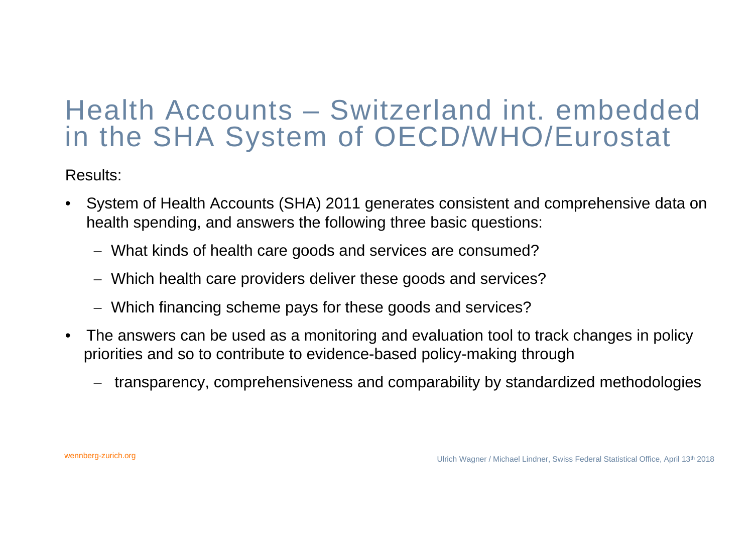## Health Accounts – Switzerland int. embedded in the SHA System of OECD/WHO/Eurostat

Results:

- • System of Health Accounts (SHA) 2011 generates consistent and comprehensive data on health spending, and answers the following three basic questions:
	- What kinds of health care goods and services are consumed?
	- Which health care providers deliver these goods and services?
	- Which financing scheme pays for these goods and services?
- • The answers can be used as a monitoring and evaluation tool to track changes in policy priorities and so to contribute to evidence-based policy-making through
	- \_\_\_\_\_\_ transparency, comprehensiveness and comparability by standardized methodologies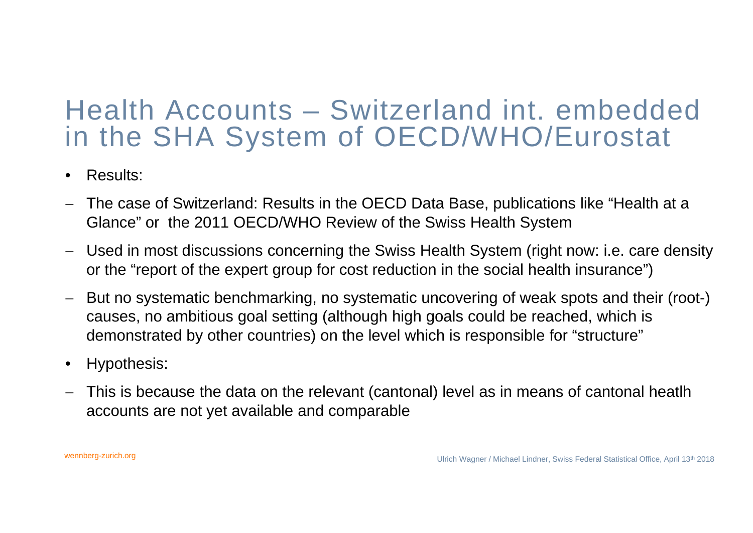## Health Accounts – Switzerland int. embedded in the SHA System of OECD/WHO/Eurostat

- •Results:
- $\equiv$  The case of Switzerland: Results in the OECD Data Base, publications like "Health at a Glance" or the 2011 OECD/WHO Review of the Swiss Health System
- $\overline{\phantom{m}}$  Used in most discussions concerning the Swiss Health System (right now: i.e. care density or the "report of the expert group for cost reduction in the social health insurance")
- $\overline{\phantom{0}}$  But no systematic benchmarking, no systematic uncovering of weak spots and their (root-) causes, no ambitious goal setting (although high goals could be reached, which is demonstrated by other countries) on the level which is responsible for "structure"
- •Hypothesis:
- $\overline{\phantom{m}}$  This is because the data on the relevant (cantonal) level as in means of cantonal heatlh accounts are not yet available and comparable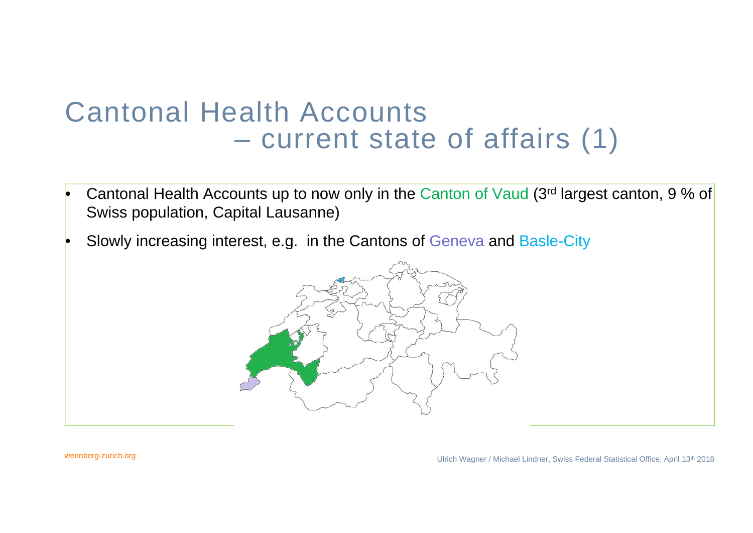#### Cantonal Health Accounts  $\mathcal{L}_{\mathcal{A}}$  , where  $\mathcal{L}_{\mathcal{A}}$  is the set of the set of the set of the set of the set of the set of the set of the set of the set of the set of the set of the set of the set of the set of the set of the set of the current state of affairs (1)

- • Cantonal Health Accounts up to now only in the Canton of Vaud (3rd largest canton, 9 % of Swiss population, Capital Lausanne)
- •Slowly increasing interest, e.g. in the Cantons of Geneva and Basle-City

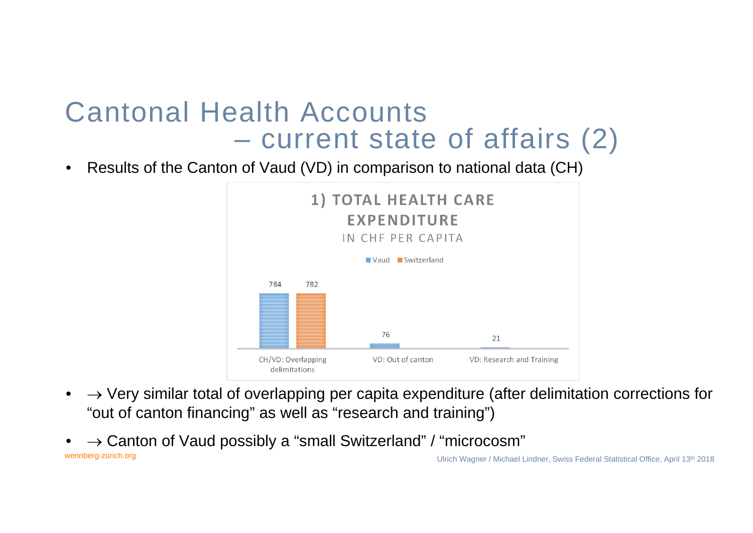#### Cantonal Health Accounts **Line Communication** current state of affairs (2)

 $\bullet$ Results of the Canton of Vaud (VD) in comparison to national data (CH)



- • $\bullet\;\;\rightarrow$  Very similar total of overlapping per capita expenditure (after delimitation corrections for "out of canton financing" as well as "research and training")
- ••  $\rightarrow$  Canton of Vaud possibly a "small Switzerland" / "microcosm"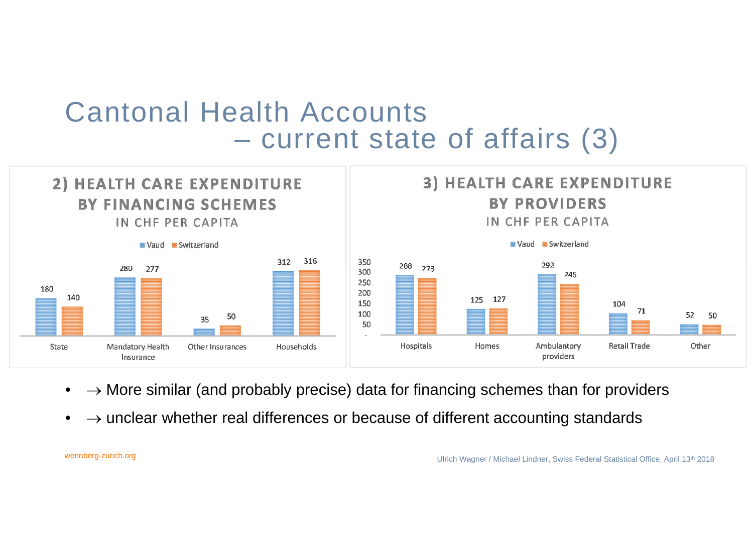#### Cantonal Health Accounts **Line Communication** current state of affairs (3)



- • $\bullet \quad \rightarrow$  More similar (and probably precise) data for financing schemes than for providers
- • $\bullet\;\;\rightarrow$  unclear whether real differences or because of different accounting standards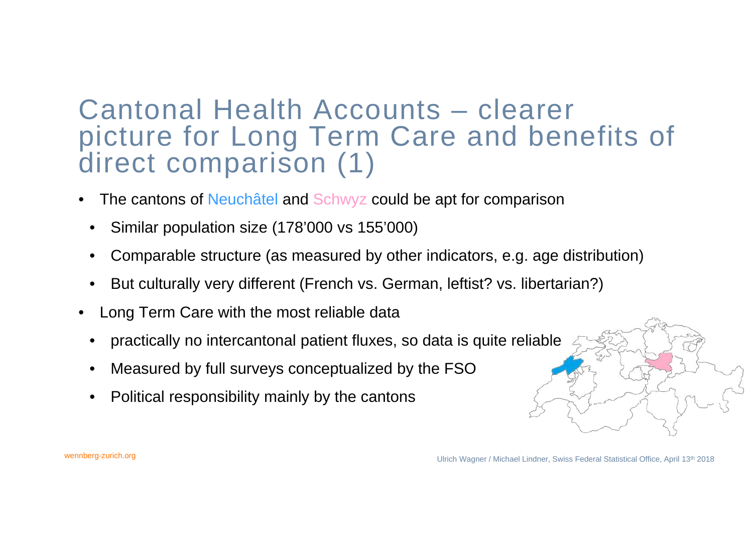# Cantonal Health Accounts – clearer picture for Long Term Care and benefits of direct comparison (1)

- •The cantons of Neuchâtel and Schwyz could be apt for comparison
- •Similar population size (178'000 vs 155'000)
- •Comparable structure (as measured by other indicators, e.g. age distribution)
- •But culturally very different (French vs. German, leftist? vs. libertarian?)
- •Long Term Care with the most reliable data
- •practically no intercantonal patient fluxes, so data is quite reliable
- •Measured by full surveys conceptualized by the FSO
- •Political responsibility mainly by the cantons

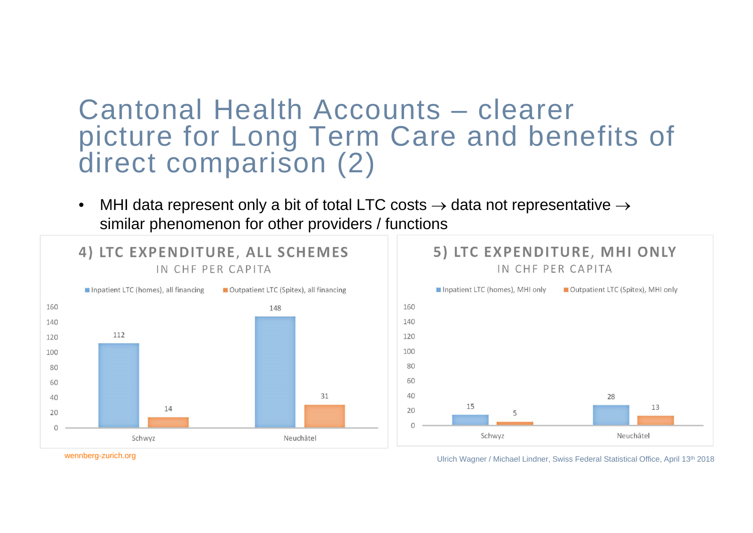# Cantonal Health Accounts – clearer picture for Long Term Care and benefits of direct comparison (2)

•MHI data represent only a bit of total LTC costs  $\rightarrow$  data not representative  $\rightarrow$ similar phenomenon for other providers / functions





wennberg-zurich.org entitled and the Ulrich Wagner / Michael Lindner, Swiss Federal Statistical Office, April 13<sup>th</sup> 2018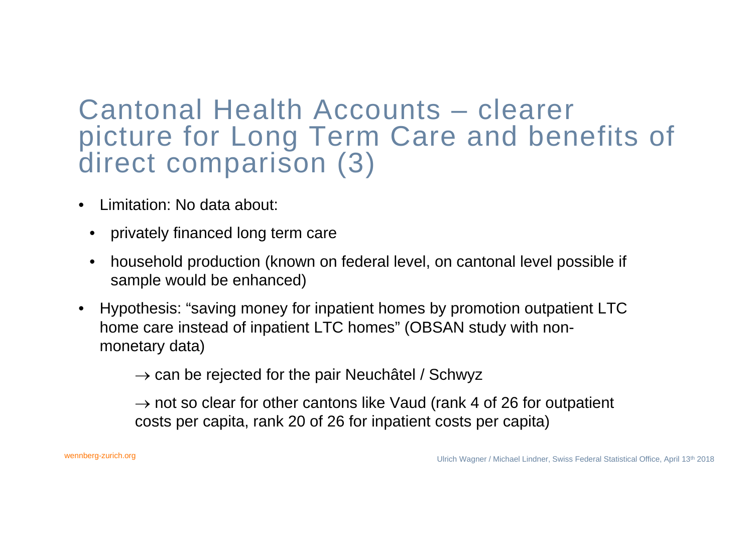# Cantonal Health Accounts – clearer picture for Long Term Care and benefits of direct comparison (3)

- $\bullet$  Limitation: No data about:
	- •privately financed long term care
	- • household production (known on federal level, on cantonal level possible if sample would be enhanced)
- $\bullet$  Hypothesis: "saving money for inpatient homes by promotion outpatient LTC home care instead of inpatient LTC homes" (OBSAN study with nonmonetary data)

 $\rightarrow$  can be rejected for the pair Neuchâtel / Schwyz

 $\rightarrow$  not so clear for other cantons like Vaud (rank 4 of 26 for outpatient costs per capita, rank 20 of 26 for inpatient costs per capita)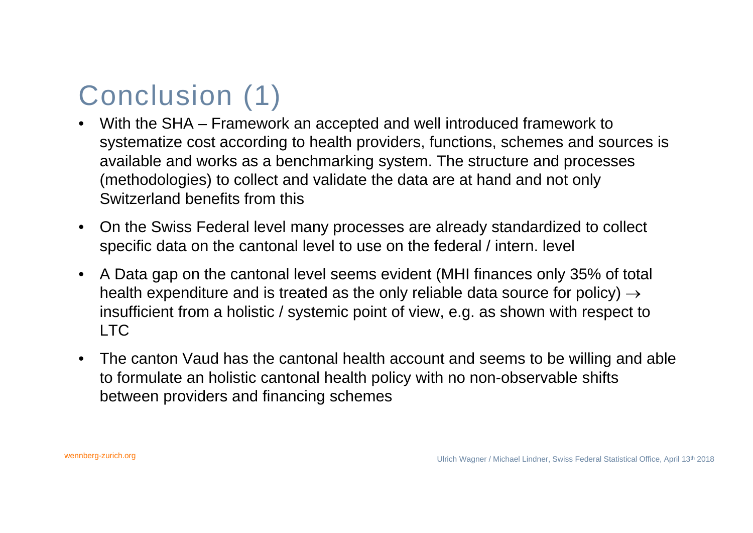## Conclusion (1)

- $\bullet$  With the SHA – Framework an accepted and well introduced framework to systematize cost according to health providers, functions, schemes and sources is available and works as a benchmarking system. The structure and processes (methodologies) to collect and validate the data are at hand and not only Switzerland benefits from this
- $\bullet$  On the Swiss Federal level many processes are already standardized to collect specific data on the cantonal level to use on the federal / intern. level
- $\bullet$  A Data gap on the cantonal level seems evident (MHI finances only 35% of total health expenditure and is treated as the only reliable data source for policy)  $\rightarrow$ insufficient from a holistic / systemic point of view, e.g. as shown with respect to LTC
- $\bullet$  The canton Vaud has the cantonal health account and seems to be willing and able to formulate an holistic cantonal health policy with no non-observable shifts between providers and financing schemes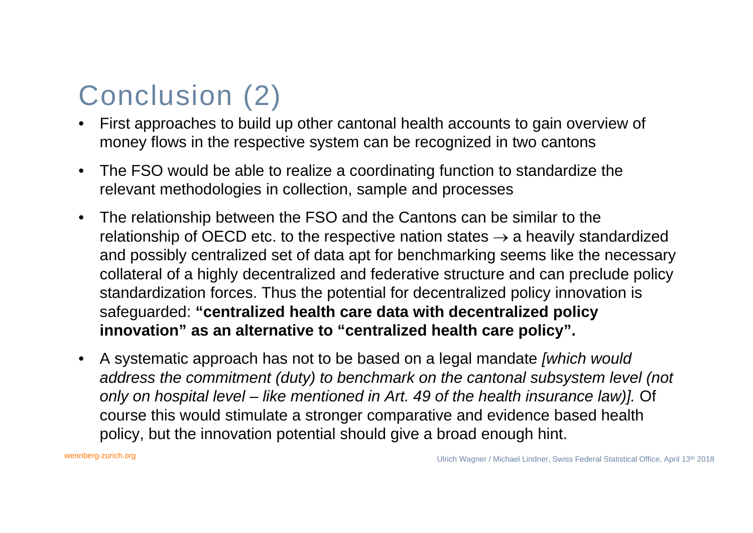## Conclusion (2)

- • First approaches to build up other cantonal health accounts to gain overview of money flows in the respective system can be recognized in two cantons
- $\bullet$  The FSO would be able to realize a coordinating function to standardize the relevant methodologies in collection, sample and processes
- $\bullet$  The relationship between the FSO and the Cantons can be similar to the relationship of OECD etc. to the respective nation states  $\rightarrow$  a heavily standardized and possibly centralized set of data apt for benchmarking seems like the necessary collateral of a highly decentralized and federative structure and can preclude policy standardization forces. Thus the potential for decentralized policy innovation is safeguarded: **"centralized health care data with decentralized policy innovation" as an alternative to "centralized health care policy".**
- $\bullet$  A systematic approach has not to be based on a legal mandate *[which would address the commitment (duty) to benchmark on the cantonal subsystem level (not only on hospital level – like mentioned in Art. 49 of the health insurance law)].* Of course this would stimulate a stronger comparative and evidence based health policy, but the innovation potential should give a broad enough hint.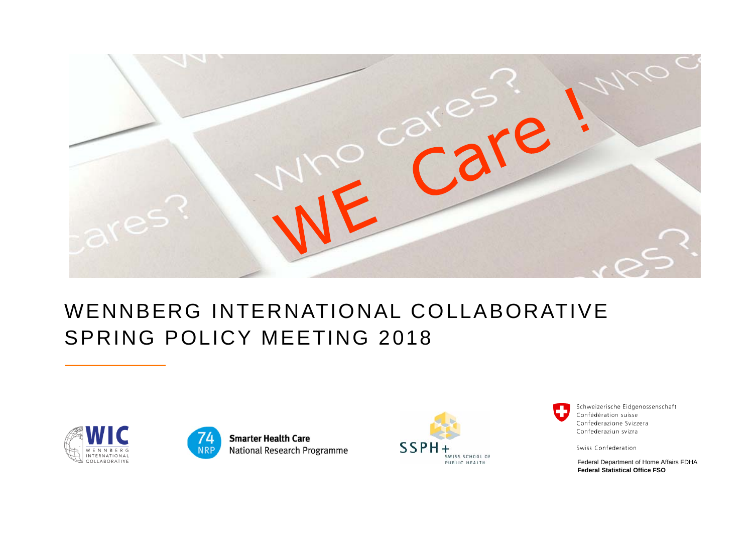

#### WENNBERG INTERNATIONAL COLLABORATIVE SPRING POLICY MEETING 2018





**Smarter Health Care** National Research Programme



Schweizerische Eidgenossenschaft Confédération suisse Confederazione Svizzera Confederaziun svizra

Swiss Confederation

Federal Department of Home Affairs FDHA **Federal Statistical Office FSO**